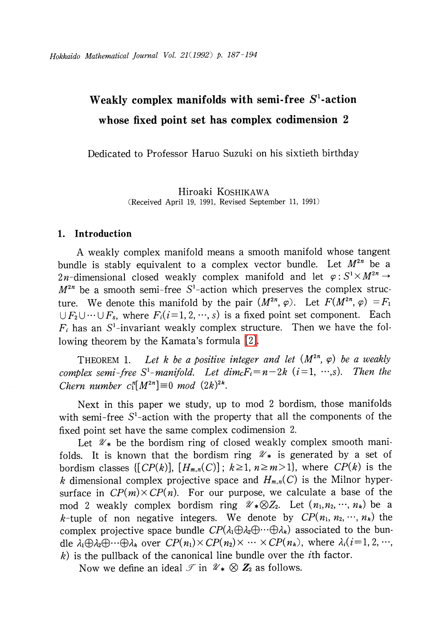# Weakly complex manifolds with semi-free  $\mathbf{S}^{\mathbf{1}}$ -action whose fixed point set has complex codimension 2

Dedicated to Professor Haruo Suzuki on his sixtieth birthday

Hiroaki KOSHIKAWA (Received April 19, 1991, Revised September 11, 1991)

## 1. Introduction

A weakly complex manifold means a smooth manifold whose tangent bundle is stably equivalent to a complex vector bundle. Let  $M^{2n}$  be a 2n-dimensional closed weakly complex manifold and let  $\varphi:S^{1}\times M^{2n}\rightarrow$  $M^{2n}$  be a smooth semi-free  $S^{1}$ -action which preserves the complex structure. We denote this manifold by the pair  $(M^{2n}, \varphi)$ . Let  $F(M^{2n}, \varphi)=F_{1}$  $\cup$   $F_{2}\cup\cdots\cup F_{s}$ , where  $F_{i}(i=1,2, \cdots, s)$  is a fixed point set component. Each  $F_{i}$  has an S<sup>1</sup>-invariant weakly complex structure. Then we have the following theorem by the Kamata's formula [\[2\].](#page-6-0)

<span id="page-0-0"></span>THEOREM 1. Let k be a positive integer and let  $(M^{2n}, \varphi)$  be a weakly complex semi-free  $S^{1}-$ manifold. Let dim $_{C}F_{i}=n-2k$  (i=1,  $\cdots$ ,s). Then the Chern number  $c_{1}^{n}[M^{2n}] \equiv 0 \mod (2k)^{2k}$ .

Next in this paper we study, up to mod <sup>2</sup> bordism, those manifolds with semi-free  $S^{1}$ -action with the property that all the components of the fixed point set have the same complex codimension 2.

Let  $\mathcal{U}_{*}$  be the bordism ring of closed weakly complex smooth manifolds. It is known that the bordism ring  $\mathcal{U}_*$  is generated by a set of bordism classes  $\{[CP(k)], [H_{m,n}(C)]; k\geq 1, n\geq m>1\}$ , where  $CP(k)$  is the k dimensional complex projective space and  $H_{m,n}(C)$  is the Milnor hypersurface in  $CP(m)\times CP(n)$ . For our purpose, we calculate a base of the mod 2 weakly complex bordism ring  $\mathscr{U}_{*}\otimes Z_{2}$ . Let  $(n_{1},n_{2}, \cdots,$   $n_{k})$  be a k-tuple of non negative integers. We denote by  $CP(n_{1}, n_{2}, \cdots, n_{k})$  the complex projective space bundle  $CP(\lambda_{1}\oplus\lambda_{2}\oplus\cdots\oplus\lambda_{k})$  associated to the bundle  $\lambda_{1}\oplus\lambda_{2}\oplus\cdots\oplus\lambda_{k}$  over  $CP(n_{1})\times CP(n_{2})\times\cdots\times CP(n_{k}) ,$  where  $\lambda_{i}(i=1,2,\cdots,$  $k$ ) is the pullback of the canonical line bundle over the *i*th factor.

Now we define an ideal  $\mathcal{T}$  in  $\mathcal{U}_{*}\otimes \mathbf{Z}_{2}$  as follows.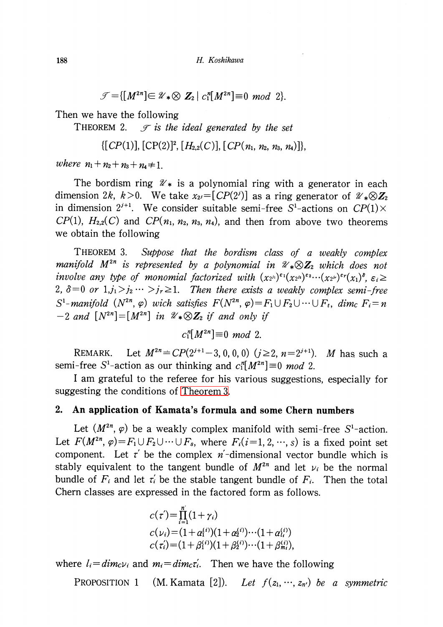$$
\mathcal{J} = \{ [M^{2n}] \in \mathcal{U}_* \otimes Z_2 \mid c_1^n[M^{2n}] \equiv 0 \mod 2 \}.
$$

Then we have the following

<span id="page-1-2"></span>THEOREM 2.  $\mathcal{T}$  is the ideal generated by the set

$$
\{[CP(1)], [CP(2)]^2, [H_{2,2}(C)], [CP(n_1, n_2, n_3, n_4)]\},\
$$

where  $n_{1}+n_{2}+n_{3}+n_{4}\neq 1$ .

The bordism ring  $\mathcal{U}_*$  is a polynomial ring with a generator in each dimension 2k, k>0. We take  $x_{2^{j}}=[CP(2^{j})]$  as a ring generator of  $\mathcal{U}_{*}\otimes \mathbb{Z}_{2}$ in dimension  $2^{j+1}$ . We consider suitable semi-free  $S^{1}$ -actions on  $CP(1)\times$  $CP(1)$ ,  $H_{2,2}(C)$  and  $CP(n_{1}, n_{2}, n_{3}, n_{4})$ , and then from above two theorems we obtain the following

<span id="page-1-0"></span>THEOREM 3. Suppose that the bordism class of a weakly complex manifold  $M^{2n}$  is represented by a polynomial in  $\mathcal{U}_{*}\otimes \mathbf{Z}_{2}$  which does not involve any type of monomial factorized with  $(x_{2^{j_1}})^{\epsilon_1}(x_{2^{j_2}})^{\epsilon_2}\cdots(x_{2^{j_r}})^{\epsilon_r}(x_{1})^{\delta}, \varepsilon_i \geq$  $2, \delta=0$  or  $1, j_{1}>j_{2}\cdots>j_{r}\geq 1$ . Then there exists a weakly complex semi-free  $S^{1}-manifold$   $(N^{2n}, \varphi)$  wich satisfies  $F(N^{2n}, \varphi)=F_{1}\cup F_{2}\cup\cdots\cup F_{t}$ , dim $_{C}F_{i}=n$  $-2$  and  $[N^{2n}]=[M^{2n}]$  in  $\mathcal{U}_{*}\otimes Z_{2}$  if and only if

 $c_{1}^{n}[M^{2n}] \equiv 0 \mod 2.$ 

REMARK. Let  $M^{2n}=CP(2^{j+1}-3,0,0,0)$  ( $j\geq 2$ ,  $n=2^{j+1}$ ). M has such a semi-free S<sup>1</sup>-action as our thinking and  $c_{1}^{n}[M^{2n}]\equiv 0$  mod 2.

<sup>I</sup> am grateful to the referee for his various suggestions, especially for suggesting the conditions of [Theorem](#page-1-0) 3.

### 2. An application of Kamata's formula and some Chern numbers

Let  $(M^{2n}, \varphi)$  be a weakly complex manifold with semi-free S<sup>1</sup>-action. Let  $F(M^{2n},\, \varphi)\!=\!F_{1}\cup F_{2}\cup\cdots\cup F_{s},$  where  $F_{i}(i\!=\!1,2, \cdots\!, s)$  is a fixed point set component. Let  $\tau^{r}$  be the complex n<sup>'</sup>-dimensional vector bundle which is stably equivalent to the tangent bundle of  $M^{2n}$  and let  $\nu_{i}$  be the normal bundle of  $F_{i}$  and let  $\tau_{i}$  be the stable tangent bundle of  $F_{i}$ . Then the total Chern classes are expressed in the factored form as follows.

$$
c(\tau') = \prod_{i=1}^{n} (1 + \gamma_i)
$$
  
\n
$$
c(\nu_i) = (1 + \alpha_1^{(i)})(1 + \alpha_2^{(i)}) \cdots (1 + \alpha_{l_i}^{(i)})
$$
  
\n
$$
c(\tau_i') = (1 + \beta_1^{(i)})(1 + \beta_2^{(i)}) \cdots (1 + \beta_{m_i}^{(i)})
$$

where  $l_{i}=dim_{c}\nu_{i}$  and  $m_{i}=dim_{c}\tau_{i}$ . Then we have the following

<span id="page-1-1"></span>PROPOSITION 1 (M. Kamata [2]). Let  $f(z_{1},...,z_{n})$  be a symmetric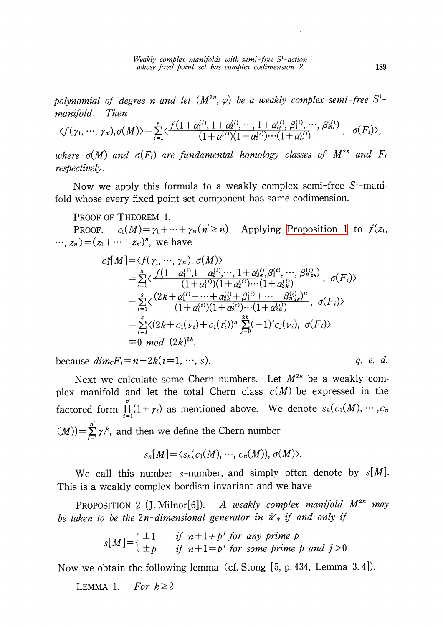Weakly complex manifolds with semi-free  $S^{1-}$ action whose fixed point set has complex codimension 2 <sup>189</sup>

polynomial of degree n and let  $(M^{2n}, \varphi)$  be a weakly complex semi-free  $S^{1}-$ <br>manifold. Then manifold.

$$
\langle f(\gamma_1,\dots,\gamma_n),\sigma(M)\rangle=\sum_{i=1}^s\langle\frac{f(1+\alpha_1^{(i)},1+\alpha_2^{(i)},\dots,1+\alpha_{i}^{(i)},\beta_1^{(i)},\dots,\beta_{m_i}^{(i)})}{(1+\alpha_1^{(i)})(1+\alpha_2^{(i)})\cdots(1+\alpha_{i}^{(i)})},\sigma(F_i)\rangle,
$$

where  $\sigma(M)$  and  $\sigma(F_{i})$  are fundamental homology classes of  $M^{2n}$  and  $F_{i}$ respectively.

Now we apply this formula to a weakly complex semi-free  $S^{1}$ -manifold whose every fixed point set component has same codimension.

PROOF OF THEOREM 1.

PROOF.  $c_{1}(M) = \gamma_{1} + \cdots + \gamma_{n}(n' \geq n)$ . Applying [Proposition](#page-1-1) 1 to  $f(z_{1},$  $\ldots, z_{n'}) \!=\! (z_{1} \!+\! \cdots \!+\! z_{n'})^{n},$  we have

$$
c_1^n[M] = \langle f(\gamma_1, \cdots, \gamma_n), \sigma(M) \rangle
$$
  
=  $\sum_{i=1}^s \langle \frac{f(1+\alpha_1^{(i)}, 1+\alpha_2^{(i)}, \cdots, 1+\alpha_{2k}^{(i)}, \beta_1^{(i)}, \cdots, \beta_{n_{2k}}^{(i)})}{(1+\alpha_1^{(i)})(1+\alpha_2^{(i)})\cdots(1+\alpha_{2k}^{(i)})}, \sigma(F_i) \rangle$   
=  $\sum_{i=1}^s \langle \frac{(2k+\alpha_1^{(i)}+\cdots+\alpha_{2k}^{(i)}+\beta_1^{(i)}+\cdots+\beta_{n_{2k}}^{(i)})^n}{(1+\alpha_1^{(i)})(1+\alpha_2^{(i)})\cdots(1+\alpha_{2k}^{(i)})}, \sigma(F_i) \rangle$   
=  $\sum_{i=1}^s \langle (2k+c_1(\nu_i)+c_1(\tau_i))^n \sum_{j=0}^{2k} (-1)^j c_j(\nu_i), \sigma(F_i) \rangle$   
= 0 *mod*  $(2k)^{2k}$ ,

because  $dim_{C}F_{i} = n-2k(i=1, \cdots, s)$ . *q. e. d.* 

Next we calculate some Chern numbers. Let  $M^{2n}$  be a weakly complex manifold and let the total Chern class  $c(M)$  be expressed in the factored form  $\Pi_{i}(1+\gamma_{i})$  as mentioned above. We denote  $s_{k}(c_{1}(M) , \cdots, c_{n})$  $(M))$ = $\sum_{i} \gamma_{i}^{k}$ , and then we define the Chern number

$$
s_n[M]=\langle s_n(c_1(M),\cdots,c_n(M)),\sigma(M)\rangle.
$$

We call this number s-number, and simply often denote by  $s[M]$ . This is a weakly complex bordism invariant and we have

PROPOSITION 2 (J. Milnor[6]). A weakly complex manifold  $M^{2n}$  may be taken to be the  $2n$ -dimensional generator in  $\mathcal{U}_{*}$  if and only if

$$
s[M] = \begin{cases} \pm 1 & \text{if } n+1 \neq p^j \text{ for any prime } p \\ \pm p & \text{if } n+1 = p^j \text{ for some prime } p \text{ and } j > 0 \end{cases}
$$

Now we obtain the following lemma (cf. Stong [5, p. 434, Lemma 3. 4]).

LEMMA 1. For  $k\geq 2$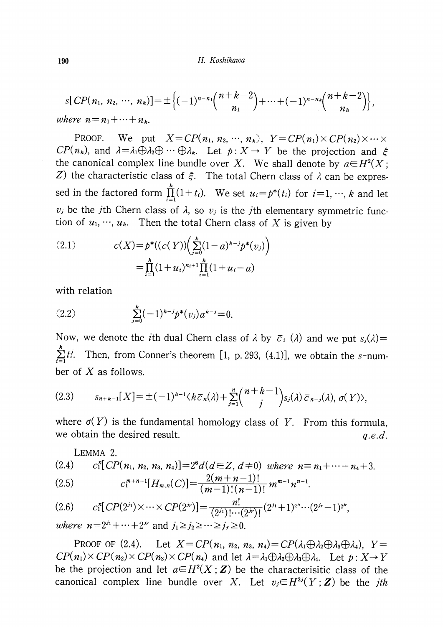$$
s[CP(n_1, n_2, \cdots, n_k)] = \pm \left\{ (-1)^{n-n_1} {n+k-2 \choose n_1} + \cdots + (-1)^{n-n_k} {n+k-2 \choose n_k} \right\},
$$
  
where  $n = n_1 + \cdots + n_k$ .

PROOF. We put  $X = CP(n_{1}, n_{2}, \cdots, n_{k}),$   $Y = CP(n_{1})\times CP(n_{2})\times\cdots\times$  $\mathcal{CP}(n_{k})$ , and  $\lambda=\lambda_{1}\bigoplus\lambda_{2}\bigoplus\cdots\bigoplus\lambda_{k}$ . Let  $p:X\rightarrow Y$  be the projection and  $\xi$ the canonical complex line bundle over X. We shall denote by  $a\in H^{2}(X ;$ Z) the characteristic class of  $\xi$ . The total Chern class of  $\lambda$  can be expressed in the factored form  $\prod_{i=1}^{n} (1+t_{i})$ . We set  $u_{i}=p^{*}(t_{i})$  for  $i=1, \dots, k$  and let  $v_{j}$  be the *j*th Chern class of  $\lambda$ , so  $v_{j}$  is the *j*th elementary symmetric function of  $u_{1} , \cdots , u_{k}$ . Then the total Chern class of  $X$  is given by

<span id="page-3-0"></span>(2.1) 
$$
c(X) = p^*((c(Y)) \left( \sum_{j=0}^k (1-a)^{k-j} p^*(v_j) \right) = \prod_{i=1}^k (1+u_i)^{n_i+1} \prod_{i=1}^k (1+u_i-a)
$$

with relation

<span id="page-3-3"></span>(2.2) 
$$
\sum_{j=0}^{k} (-1)^{k-j} p^{*}(v_{j}) a^{k-j} = 0.
$$

Now, we denote the *i*th dual Chern class of  $\lambda$  by  $\overline{c}_{i}(\lambda)$  and we put  $s_{j}(\lambda)=$  $\cdots$ Then, from Conner's theorem [1, p. 293, (4.1)], we obtain the s-number of  $X$  as follows.

$$
(2.3) \qquad s_{n+k-1}[X] = \pm (-1)^{k-1} \langle k \overline{c}_n(\lambda) + \sum_{j=1}^n {n+k-1 \choose j} s_j(\lambda) \overline{c}_{n-j}(\lambda), \sigma(Y) \rangle,
$$

where  $\sigma(Y)$  is the fundamental homology class of Y. From this formula, we obtain the desired result.  $q.e.d.$ 

<span id="page-3-2"></span>LEMMA 2.  
\n(2.4) 
$$
c_1^n[CP(n_1, n_2, n_3, n_4)] = 2^6 d(d\in \mathbb{Z}, d \neq 0)
$$
 where  $n = n_1 + \dots + n_4 + 3$ .  
\n(2.5)  $c_1^{m+n-1}[H_{m,n}(C)] = \frac{2(m+n-1)!}{(m-1)!(n-1)!} m^{m-1} n^{n-1}$ .

<span id="page-3-1"></span>
$$
(2.6) \t c_1^n[CP(2^{j_1}) \times \cdots \times CP(2^{j_r})] = \frac{n!}{(2^{j_1})! \cdots (2^{j_r})!} (2^{j_1}+1)^{2^{j_1}} \cdots (2^{j_r}+1)^{2^{j_r}},
$$

where  $n=2^{j_{1}}+\cdots+2^{j_{r}}$  and  $j_{1}\geq j_{2}\geq\cdots\geq j_{r}\geq 0$ .

Proof of (2.4). Let  $X=CP(n_{1}, n_{2}, n_{3}, n_{4})=CP(\lambda_{1}\oplus\lambda_{2}\oplus\lambda_{3}\oplus\lambda_{4})$ ,  $Y=$  $CP(n_{1})\times CP(n_{2})\times CP(n_{3})\times CP(n_{4})$  and let  $\lambda=\lambda_{1}\oplus\lambda_{2}\oplus\lambda_{3}\oplus\lambda_{4}$ . Let  $p:X\to Y$ be the projection and let  $a\in H^{2}(X;\mathbf{Z})$  be the characterisitic class of the canonical complex line bundle over X. Let  $v_{j} \in H^{2j}(Y;Z)$  be the *ith*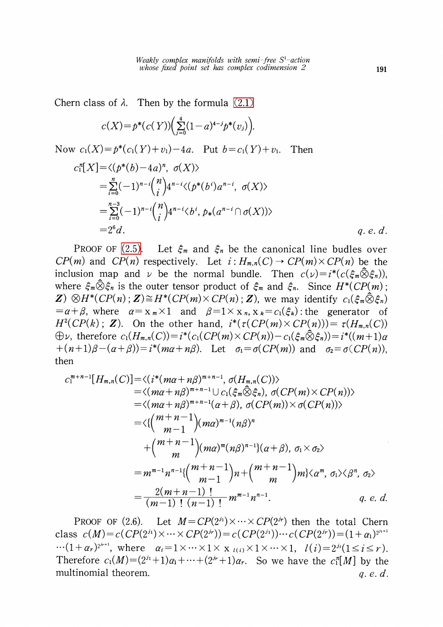Chern class of  $\lambda$ . Then by the formula [\(2.1\)](#page-3-0)

$$
c(X) = p^{*}(c(Y)) \Big( \sum_{j=0}^{4} (1-a)^{4-j} p^{*}(v_j) \Big).
$$

Now  $c_{1}(X)=p^{*}(c_{1}(Y)+v_{1})-4a$ . Put  $b=c_{1}(Y)+v_{1}$ . Then

$$
c_1^n[X] = \langle (p^*(b) - 4a)^n, \sigma(X) \rangle
$$
  
=  $\sum_{i=0}^n (-1)^{n-i} {n \choose i} 4^{n-i} \langle (p^*(b^i)a^{n-i}, \sigma(X) \rangle$   
=  $\sum_{i=0}^{n-3} (-1)^{n-i} {n \choose i} 4^{n-i} \langle b^i, p_*(a^{n-i} \cap \sigma(X)) \rangle$   
=  $2^6 d$ .  
*q. e. d.*

PROOF OF [\(2.5\).](#page-3-1) Let  $\xi_{m}$  and  $\xi_{n}$  be the canonical line budles over  $CP(m)$  and  $CP(n)$  respectively. Let  $i: H_{m,n}(C) \rightarrow CP(m) \times CP(n)$  be the inclusion map and  $\nu$  be the normal bundle. Then  $c(\nu)=i^{*}(c(\xi_{m}\ddot{\otimes}\xi_{n}))\psi_{n}$ where  $\xi_{m}\otimes\xi_{n}$  is the outer tensor product of  $\xi_{m}$  and  $\xi_{n}$ . Since  $H^{*}(CP(m)$ ;  $\mathbf{Z})\otimes H^{*}(CP(n);\mathbf{Z})\cong H^{*}(CP(m)\times CP(n);\mathbf{Z})$  we may identify  $c_{1}(\xi_{m}\hat{\otimes}\xi_{n})$  $=\alpha+\beta$ , where  $\alpha=x_{m}\times 1$  and  $\beta=1\times x_{n}$ ,  $x_{k}=c_{1}(\xi_{k})$  : the generator of  $H^{2}(CP(k); \mathbb{Z})$ . On the other hand,  $i^{*}(\tau(CP(m)\times CP(n)))=\tau(H_{m,n}(C))$  $\oplus\nu$ , therefore  $c_{1}(H_{m,n}(C))=i^{*}(c_{1}(CP(m)\times CP(n))-c_{1}(\xi_{m}\hat{\otimes}\xi_{n}))=i^{*}((m+1)\alpha$  $+(n+1)\beta-(\alpha+\beta)=i^{*}(m\alpha+n\beta)$ . Let  $\sigma_{1}=\sigma(CP(m))$  and  $\sigma_{2}=\sigma(CP(n))$ , then

$$
c_1^{m+n-1}[H_{m,n}(C)] = \langle (i^*(m\alpha + n\beta)^{m+n-1}, \sigma(H_{m,n}(C)) \rangle
$$
  
\n
$$
= \langle (m\alpha + n\beta)^{m+n-1} \cup c_1(\xi_m \hat{\otimes} \xi_n), \sigma(CP(m) \times CP(n)) \rangle
$$
  
\n
$$
= \langle (m\alpha + n\beta)^{m+n-1}(\alpha + \beta), \sigma(CP(m)) \times \sigma(CP(n)) \rangle
$$
  
\n
$$
= \langle \binom{m+n-1}{m-1} (m\alpha)^{m-1} (n\beta)^n
$$
  
\n
$$
+ \binom{m+n-1}{m} (m\alpha)^m (n\beta)^{n-1} \langle (\alpha + \beta), \sigma_1 \times \sigma_2 \rangle
$$
  
\n
$$
= m^{m-1} n^{n-1} \{ \binom{m+n-1}{m-1} n + \binom{m+n-1}{m} m \} \langle \alpha^m, \sigma_1 \rangle \langle \beta^n, \sigma_2 \rangle
$$
  
\n
$$
= \frac{2(m+n-1)!}{(m-1)!} m^{m-1} n^{n-1}.
$$
q.e.d.

PROOF OF (2.6). Let  $M=CP(2^{j_1})\times\cdots\times CP(2^{j_r})$  then the total Chern class  $c(M)=c(CP(2^{j_1})\times\cdots\times CP(2^{j_r}))=c(CP(2^{j_1}))\cdots c(CP(2^{j_r}))=(1+\alpha_{1})^{2^{j_{1}+1}}$  $\cdots (1+\alpha_{r})^{2^{j_{r+1}}}$ , where  $\alpha_{i}=1\times\cdots\times 1\times\overline{\phantom{x}}_{l(i)}\times 1\times\cdots\times 1,\quad l(i)=2^{j_{i}}(1\leq i\leq r)$ . Therefore  $c_{1}(M)=(2^{j_{1}}+1)\alpha_{1}+\cdots+(2^{j_{r}}+1)\alpha_{r}$ . So we have the  $c_{1}^{n}[M]$  by the multinomial theorem.  $q, e, d$ .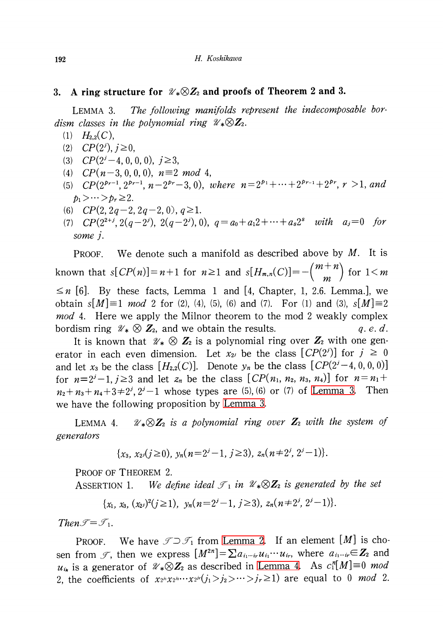#### 3. A ring structure for  $\mathcal{U}_{*}\otimes Z_{2}$  and proofs of Theorem 2 and 3.

<span id="page-5-0"></span>LEMMA 3. The following manifolds represent the indecomposable bordism classes in the polynomial ring  $\mathscr{U}_{*}\otimes \mathbf{Z}_{2}$ .

- $(1)$   $H_{2,2}(C)$ ,
- (2)  $CP(2^{j})$ ,  $j\geq 0$ ,
- (3)  $CP(2^{j}-4,0,0,0)$ ,  $j\geq 3$ ,
- (4)  $CP(n-3, 0, 0, 0), n \equiv 2 \mod 4,$
- (5)  $CP(2^{p_{r-1}}, 2^{p_{r-1}}, n-2^{p_{r}}-3,0)$ , where  $n=2^{p_{1}}+\cdots+2^{p_{r-1}}+2^{p_{r}}, r>1$ , and  $p_{1}>\cdots >p_{r}\geq 2$ .
- (6)  $CP(2, 2q-2, 2q-2, 0), q\geq 1$ .
- (7)  $CP(2^{2+j}, 2(q-2^{j}), 2(q-2^{j}), 0)$ ,  $q=a_{0}+a_{1}2+\cdots+a_{s}2^{s}$  with  $a_{j}=0$  for some j.

PROOF. We denote such a manifold as described above by  $M$ . It is known that  $s[CP(n)]=n+1$  for  $n\geq 1$  and  $s[H_{m,n}(C)]=-\binom{m+n}{m}$  for  $1\leq m$  $\leq n$  [6]. By these facts, Lemma 1 and [4, Chapter, 1, 2.6. Lemma.], we obtain  $s[M]\equiv 1 \mod 2$  for (2), (4), (5), (6) and (7). For (1) and (3),  $s[M]\equiv 2$ mod 4. Here we apply the Milnor theorem to the mod 2 weakly complex bordism ring  $\mathcal{U}_{*}\otimes \mathbf{Z}_{2}$ , and we obtain the results.  $q. e. d.$ 

It is known that  $\mathcal{U}_{*}\otimes \mathbf{Z}_{2}$  is a polynomial ring over  $\mathbf{Z}_{2}$  with one generator in each even dimension. Let  $x_{2^{j}}$  be the class  $[CP(2^{j})]$  for  $j\geq 0$ and let  $x_{3}$  be the class  $[H_{2,2}(C)]$ . Denote  $y_{n}$  be the class  $[CP(2^{j}-4,0,0,0)]$ for  $n=2^{j}-1, j\geq 3$  and let  $z_n$  be the class  $[CP(n_{1}, n_{2}, n_{3}, n_{4})]$  for  $n=n_{1}+1$  $n_{2}+n_{3}+n_{4}+3\neq 2^{j},$   $2^{j}-1$  whose types are (5), (6) or (7) of [Lemma](#page-5-0) 3. Then we have the following proposition by [Lemma](#page-5-0) 3.

<span id="page-5-1"></span>LEMMA 4.  $\mathcal{U}_{*}\otimes Z_{2}$  is a polynomial ring over  $Z_{2}$  with the system of generators

$$
\{x_3, x_{2} \ (j \geq 0), \ y_n(n=2^j-1, j \geq 3), \ z_n(n \neq 2^j, 2^j-1)\}.
$$

PROOF OF THEOREM 2.

ASSERTION 1. We define ideal  $\mathcal{T}_{1}$  in  $\mathcal{U}_{*}\otimes \mathbb{Z}_{2}$  is generated by the set

$$
\{x_1, x_3, (x_2)^2 (j \ge 1), y_n (n=2^j-1, j \ge 3), z_n (n \ne 2^j, 2^j-1)\}.
$$

 $1$  hen  $\mathcal{I}=\mathcal{I}_{1}$ .

PROOF. We have  $\mathcal{T}\supset \mathcal{T}_{1}$  from [Lemma](#page-3-2) 2. If an element  $[M]$  is chosen from  $\mathscr{I},$  then we express  $[M^{2n}] = \sum a_{i_{1}\cdots i_{r}}u_{i_{1}}\cdots u_{i_{r}},$  where  $a_{i_{1}\cdots i_{r}}{\in\mathbf{Z}_{2}}$  and  $u_{ik}$  is a generator of  $\mathcal{U}_{*}\otimes Z_{2}$  as described in [Lemma](#page-5-1) 4. As  $c_{1}^{n}[M]\equiv 0$  mod 2, the coefficients of  $x_{2^{j_1}}x_{2^{j_2}}\cdots x_{2^{j_r}}(j_1>j_2>\cdots>j_r\geq 1 )$  are equal to 0 *mod* 2.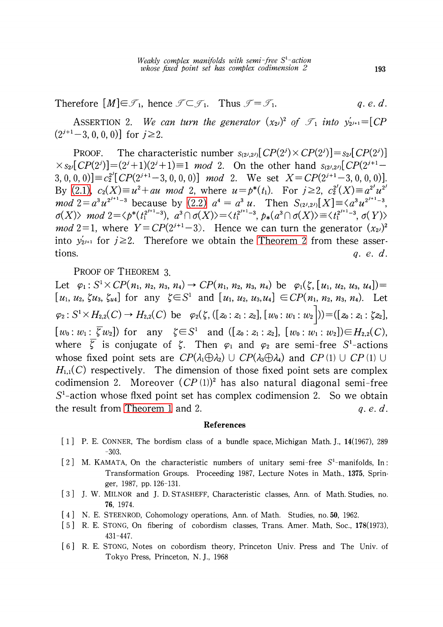Therefore  $[M]\in \mathcal{I}_{1}$ , hence  $\mathcal{I}\subset \mathcal{I}_{1}$ . Thus  $\mathcal{I}=\mathcal{I}_{1}$ .  $q.e.d.$ 

ASSERTION 2. We can turn the generator  $(x_{2}^{j})^{2}$  of  $\mathcal{I}_{1}$  into  $y_{2^{j+1}}'=[CP]$  $(2^{j+1}-3,0,0,0)$ ] for  $j\geq 2$ .

PROOF. The characteristic number  $s_{(2^{j},2^{j})}[CP(2^{j})\times CP(2^{j})]=s_{2^{j}}[CP(2^{j})]$  $\times$  s<sub>2</sub><sup>[</sup>CP(2<sup>j</sup>)]=(2<sup>j</sup>+1)(2<sup>j</sup>+1)\times 1 mod 2. On the other hand s<sub>(2<sup>j</sup>,2<sup>j</sup>)[CP(2<sup>j+1</sup>-</sub> 3, 0, 0, 0)]  $\equiv c_{2}^{2^{j}}[CP(2^{j+1}-3,0,0,0)]$  mod 2. We set  $X=CP(2^{j+1}-3,0,0,0)$ ]. By [\(2.1\),](#page-3-0)  $c_{2}(X) \equiv u^{2}+au \mod 2$ , where  $u=p^{*}(t_{1})$ . For  $j\geq 2$ ,  $c_{2}^{2}(X)\equiv a^{2^{j}}u^{2^{j}}$  $mod \ 2=a^{3}u^{2^{j+1}-3}$  because by  $(2.2)$   $a^{4}=a^{3}u$ . Then  $S_{(2^{j},2^{j})}[X]\equiv\langle a^{3}u^{2^{j+1}-3},$  $\sigma(X)\rangle \mod 2=\langle p^{*}(t_{1}^{2^{j+1}-3}), \ a^{3}\cap\sigma(X)\rangle=\langle\, t_{1}^{2^{j+1}-3}, \ p_{*}(a^{3}\cap\sigma(X)\rangle\equiv\langle\, t_{1}^{2^{j+1}-3}, \sigma(Y)\rangle$ *mod* 2=1, where  $Y = CP(2^{j+1}-3)$ . Hence we can turn the generator  $(x_{2^{j}})^{2}$ into  $y'_{2^{j+1}}$  for  $j\geq 2$ . Therefore we obtain the [Theorem](#page-1-2) 2 from these assertions.  $q, e, d$ .

PROOF OF THEOREM 3.

Let  $\varphi_{1} : S^{1}\times CP(n_{1}, n_{2}, n_{3}, n_{4}) \rightarrow CP(n_{1}, n_{2}, n_{3}, n_{4})$  be  $\varphi_{1}(\zeta, [u_{1}, u_{2}, u_{3}, u_{4}])=$  $[u_{1}, u_{2}, \zeta u_{3}, \zeta_{u4}]$  for any  $\zeta\in S^{1}$  and  $[u_{1}, u_{2}, u_{3},u_{4}]\in CP(n_{1}, n_{2}, n_{3}, n_{4})$ . Let  $\varphi_{2} : S^{1}\times H_{2,2}(C) \rightarrow H_{2,2}(C)$  be  $\varphi_{2}(\zeta, ([z_{0}: z_{1}: z_{2}], [w_{0}: w_{1}: w_{2}]))=( [z_{0}: z_{1}: \zeta z_{2}],$  $[ \,w_{0} : w_{1} \colon \overline{\zeta}\,w_{2} ]$ ) for any  $\zeta\!\in\! S^{1}$  and  $([z_{0} : z_{1} : z_{2}], \ [ \,w_{0} : w_{1} : w_{2}])\!\!\in\! H_{2,2}(C),$ where  $\zeta$  is conjugate of  $\zeta$ . Then  $\varphi_{1}$  and  $\varphi_{2}$  are semi-free S<sup>1</sup>-actions whose fixed point sets are  $CP(\lambda_{1}\oplus\lambda_{2})\cup CP(\lambda_{3}\oplus\lambda_{4})$  and  $CP(1)\cup CP(1)\cup$  $H_{1,1}(C)$  respectively. The dimension of those fixed point sets are complex codimension 2. Moreover  $(CP(1))^{2}$  has also natural diagonal semi-free  $S^{1}$ -action whose fixed point set has complex codimension 2. So we obtain the result from [Theorem](#page-0-0) 1 and 2.  $q, e, d$ .

#### References

- [1] P. E. CONNER, The bordism class of <sup>a</sup> bundle space, Michigan Math. J., 14(1967), <sup>289</sup> -303.
- <span id="page-6-0"></span>[2] M. KAMATA, On the characteristic numbers of unitary semi-free  $S^{1}$ -manifolds, In: Transformation Groups. Proceeding 1987, Lecture Notes in Math., 1375, Springer, 1987, pp. 126-131.
- [3] J. W. MILNOR and J. D. STASHEFF, Characteristic classes, Ann. of Math. Studies, no. 76, 1974.
- [4] N. E. STEENROD, Cohomology operations, Ann. of Math. Studies, no. 50, 1962.
- [5] R. E. STONG, On fibering of cobordism classes, Trans. Amer. Math, Soc., 178(1973), 431-447.
- [6] R. E. STONG, Notes on cobordism theory, Princeton Univ. Press and The Univ. of Tokyo Press, Princeton, N. J., 1968